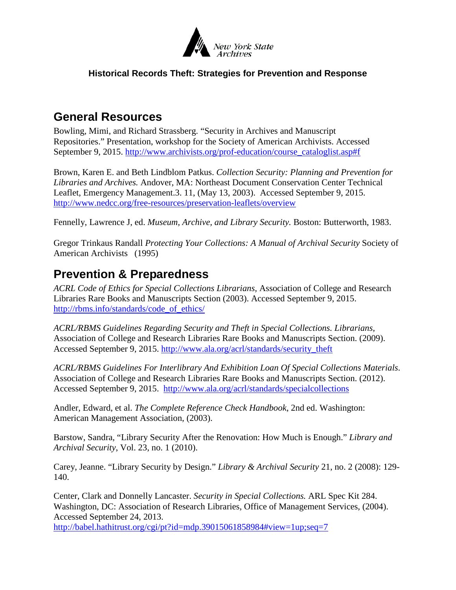

#### **Historical Records Theft: Strategies for Prevention and Response**

#### **General Resources**

Bowling, Mimi, and Richard Strassberg. "Security in Archives and Manuscript Repositories." Presentation, workshop for the Society of American Archivists. Accessed September 9, 2015. [http://www.archivists.org/prof-education/course\\_cataloglist.asp#f](http://www.archivists.org/prof-education/course_cataloglist.asp%23f)

Brown, Karen E. and Beth Lindblom Patkus. *Collection Security: Planning and Prevention for Libraries and Archives.* Andover, MA: Northeast Document Conservation Center Technical Leaflet, Emergency Management.3. 11, (May 13, 2003). Accessed September 9, 2015. <http://www.nedcc.org/free-resources/preservation-leaflets/overview>

Fennelly, Lawrence J, ed. *Museum, Archive, and Library Security.* Boston: Butterworth, 1983.

Gregor Trinkaus Randall *Protecting Your Collections: A Manual of Archival Security* Society of American Archivists (1995)

### **Prevention & Preparedness**

*ACRL Code of Ethics for Special Collections Librarians,* Association of College and Research Libraries Rare Books and Manuscripts Section (2003). Accessed September 9, 2015. [http://rbms.info/standards/code\\_of\\_ethics/](http://rbms.info/standards/code_of_ethics/)

*ACRL/RBMS Guidelines Regarding Security and Theft in Special Collections. Librarians,* Association of College and Research Libraries Rare Books and Manuscripts Section. (2009). Accessed September 9, 2015. [http://www.ala.org/acrl/standards/security\\_theft](http://www.ala.org/acrl/standards/security_theft)

*ACRL/RBMS Guidelines For Interlibrary And Exhibition Loan Of Special Collections Materials*. Association of College and Research Libraries Rare Books and Manuscripts Section. (2012). Accessed September 9, 2015. <http://www.ala.org/acrl/standards/specialcollections>

Andler, Edward, et al. *The Complete Reference Check Handbook*, 2nd ed. Washington: American Management Association, (2003).

Barstow, Sandra, "Library Security After the Renovation: How Much is Enough." *Library and Archival Security*, Vol. 23, no. 1 (2010).

Carey, Jeanne. "Library Security by Design." *Library & Archival Security* 21, no. 2 (2008): 129- 140.

Center, Clark and Donnelly Lancaster. *Security in Special Collections.* ARL Spec Kit 284. Washington, DC: Association of Research Libraries, Office of Management Services, (2004). Accessed September 24, 2013.

[http://babel.hathitrust.org/cgi/pt?id=mdp.39015061858984#view=1up;seq=7](http://babel.hathitrust.org/cgi/pt?id=mdp.39015061858984%23view=1up;seq=7)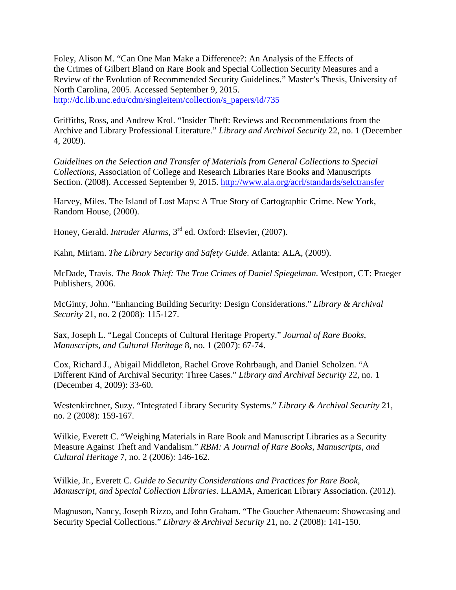Foley, Alison M. "Can One Man Make a Difference?: An Analysis of the Effects of the Crimes of Gilbert Bland on Rare Book and Special Collection Security Measures and a Review of the Evolution of Recommended Security Guidelines." Master's Thesis, University of North Carolina, 2005. Accessed September 9, 2015. [http://dc.lib.unc.edu/cdm/singleitem/collection/s\\_papers/id/735](http://dc.lib.unc.edu/cdm/singleitem/collection/s_papers/id/735)

Griffiths, Ross, and Andrew Krol. "Insider Theft: Reviews and Recommendations from the Archive and Library Professional Literature." *Library and Archival Security* 22, no. 1 (December 4, 2009).

*Guidelines on the Selection and Transfer of Materials from General Collections to Special Collections,* Association of College and Research Libraries Rare Books and Manuscripts Section. (2008). Accessed September 9, 2015.<http://www.ala.org/acrl/standards/selctransfer>

Harvey, Miles. The Island of Lost Maps: A True Story of Cartographic Crime. New York, Random House, (2000).

Honey, Gerald. *Intruder Alarms*, 3rd ed. Oxford: Elsevier, (2007).

Kahn, Miriam. *The Library Security and Safety Guide*. Atlanta: ALA, (2009).

McDade, Travis. *The Book Thief: The True Crimes of Daniel Spiegelman.* Westport, CT: Praeger Publishers, 2006.

McGinty, John. "Enhancing Building Security: Design Considerations." *Library & Archival Security* 21, no. 2 (2008): 115-127.

Sax, Joseph L. "Legal Concepts of Cultural Heritage Property." *Journal of Rare Books, Manuscripts, and Cultural Heritage* 8, no. 1 (2007): 67-74.

Cox, Richard J., Abigail Middleton, Rachel Grove Rohrbaugh, and Daniel Scholzen. "A Different Kind of Archival Security: Three Cases." *Library and Archival Security* 22, no. 1 (December 4, 2009): 33-60.

Westenkirchner, Suzy. "Integrated Library Security Systems." *Library & Archival Security* 21, no. 2 (2008): 159-167.

Wilkie, Everett C. "Weighing Materials in Rare Book and Manuscript Libraries as a Security Measure Against Theft and Vandalism." *RBM: A Journal of Rare Books, Manuscripts, and Cultural Heritage* 7, no. 2 (2006): 146-162.

Wilkie, Jr., Everett C. *Guide to Security Considerations and Practices for Rare Book, Manuscript, and Special Collection Libraries*. LLAMA, American Library Association. (2012).

Magnuson, Nancy, Joseph Rizzo, and John Graham. "The Goucher Athenaeum: Showcasing and Security Special Collections." *Library & Archival Security* 21, no. 2 (2008): 141-150.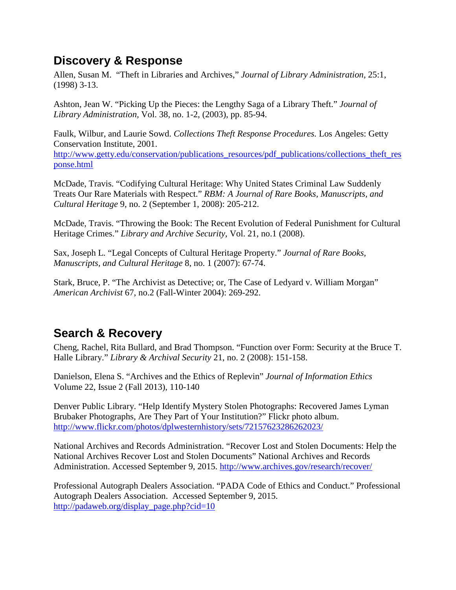# **Discovery & Response**

Allen, Susan M. "Theft in Libraries and Archives," *Journal of Library Administration*, 25:1, (1998) 3-13.

Ashton, Jean W. "Picking Up the Pieces: the Lengthy Saga of a Library Theft." *Journal of Library Administration,* Vol. 38, no. 1-2, (2003), pp. 85-94.

Faulk, Wilbur, and Laurie Sowd. *Collections Theft Response Procedures.* Los Angeles: Getty Conservation Institute, 2001. [http://www.getty.edu/conservation/publications\\_resources/pdf\\_publications/collections\\_theft\\_res](http://www.getty.edu/conservation/publications_resources/pdf_publications/collections_theft_response.html) [ponse.html](http://www.getty.edu/conservation/publications_resources/pdf_publications/collections_theft_response.html)

McDade, Travis. "Codifying Cultural Heritage: Why United States Criminal Law Suddenly Treats Our Rare Materials with Respect." *RBM: A Journal of Rare Books, Manuscripts, and Cultural Heritage* 9, no. 2 (September 1, 2008): 205-212.

McDade, Travis. "Throwing the Book: The Recent Evolution of Federal Punishment for Cultural Heritage Crimes." *Library and Archive Security*, Vol. 21, no.1 (2008).

Sax, Joseph L. "Legal Concepts of Cultural Heritage Property." *Journal of Rare Books, Manuscripts, and Cultural Heritage* 8, no. 1 (2007): 67-74.

Stark, Bruce, P. "The Archivist as Detective; or, The Case of Ledyard v. William Morgan" *American Archivist* 67, no.2 (Fall-Winter 2004): 269-292.

# **Search & Recovery**

Cheng, Rachel, Rita Bullard, and Brad Thompson. "Function over Form: Security at the Bruce T. Halle Library." *Library & Archival Security* 21, no. 2 (2008): 151-158.

Danielson, Elena S. "Archives and the Ethics of Replevin" *Journal of Information Ethics* Volume 22, Issue 2 (Fall 2013), 110-140

Denver Public Library. "Help Identify Mystery Stolen Photographs: Recovered James Lyman Brubaker Photographs, Are They Part of Your Institution?" Flickr photo album. <http://www.flickr.com/photos/dplwesternhistory/sets/72157623286262023/>

National Archives and Records Administration. "Recover Lost and Stolen Documents: Help the National Archives Recover Lost and Stolen Documents" National Archives and Records Administration. Accessed September 9, 2015.<http://www.archives.gov/research/recover/>

Professional Autograph Dealers Association. "PADA Code of Ethics and Conduct." Professional Autograph Dealers Association. Accessed September 9, 2015. [http://padaweb.org/display\\_page.php?cid=10](http://padaweb.org/display_page.php?cid=10)